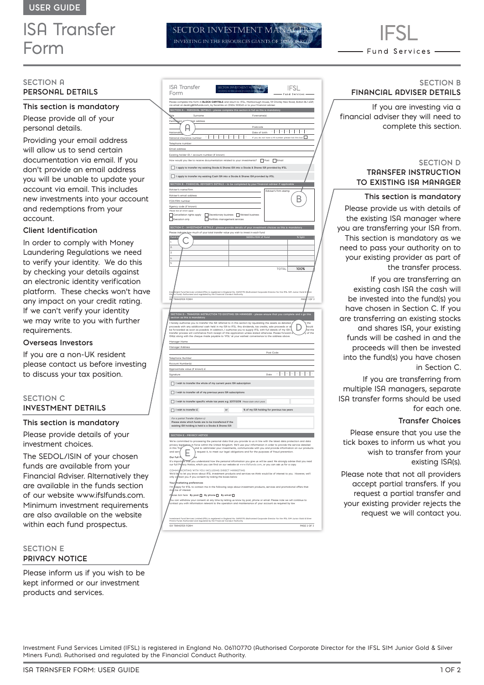# ISA Transfer Form

## **SECTION A PERSONAL DETAILS**

#### **This section is mandatory**

Please provide all of your personal details.

Providing your email address will allow us to send certain documentation via email. If you don't provide an email address you will be unable to update your account via email. This includes new investments into your account and redemptions from your account.

## **Client Identification**

In order to comply with Money Laundering Regulations we need to verify your identity. We do this by checking your details against an electronic identity verification platform. These checks won't have any impact on your credit rating. If we can't verify your identity we may write to you with further requirements.

#### **Overseas Investors**

If you are a non-UK resident please contact us before investing to discuss your tax position.

## **SECTION C INVESTMENT DETAILS**

#### **This section is mandatory**

Please provide details of your investment choices.

The SEDOL/ISIN of your chosen funds are available from your Financial Adviser. Alternatively they are available in the funds section of our website www.ifslfunds.com. Minimum investment requirements are also available on the website within each fund prospectus.

## **SECTION E PRIVACY NOTICE**

Please inform us if you wish to be kept informed or our investment products and services.

| <b>ISA Transfer</b><br>Form                                                                                                                                                                                                                                                                                                                                             | IFSL<br>Fund Services                                                                                                                                                                                                                                                                                                                                                                                                                                           |
|-------------------------------------------------------------------------------------------------------------------------------------------------------------------------------------------------------------------------------------------------------------------------------------------------------------------------------------------------------------------------|-----------------------------------------------------------------------------------------------------------------------------------------------------------------------------------------------------------------------------------------------------------------------------------------------------------------------------------------------------------------------------------------------------------------------------------------------------------------|
|                                                                                                                                                                                                                                                                                                                                                                         | .<br>Please complete this form in <b>BLOCK CAPITALS</b> and return to: IFSL, Mariborough House, 59 Chorley New Road, Bolton BL1 <i>I</i> .QP,<br>via email at dealing@ifsifunds.com, by facsimile on 01204 533045 or to your financial adviser.                                                                                                                                                                                                                 |
| SECTION A - PERSONAL DETAILS - please complete this section in full as this is mandatory                                                                                                                                                                                                                                                                                |                                                                                                                                                                                                                                                                                                                                                                                                                                                                 |
| Surname<br><b>Sigle</b>                                                                                                                                                                                                                                                                                                                                                 | Forename(s)                                                                                                                                                                                                                                                                                                                                                                                                                                                     |
| Perr<br>ndeent<br>ial address                                                                                                                                                                                                                                                                                                                                           |                                                                                                                                                                                                                                                                                                                                                                                                                                                                 |
| ŀ                                                                                                                                                                                                                                                                                                                                                                       | Postcode                                                                                                                                                                                                                                                                                                                                                                                                                                                        |
| Nation                                                                                                                                                                                                                                                                                                                                                                  | I<br>ı<br>I<br>Date of birth                                                                                                                                                                                                                                                                                                                                                                                                                                    |
| $\times$<br>National insurance number                                                                                                                                                                                                                                                                                                                                   | I<br>$\times$<br>I<br>If you do not have a NI number please tick this box                                                                                                                                                                                                                                                                                                                                                                                       |
| Telephone number                                                                                                                                                                                                                                                                                                                                                        |                                                                                                                                                                                                                                                                                                                                                                                                                                                                 |
| Email address                                                                                                                                                                                                                                                                                                                                                           |                                                                                                                                                                                                                                                                                                                                                                                                                                                                 |
| Existing holder ID / account number (if known)                                                                                                                                                                                                                                                                                                                          |                                                                                                                                                                                                                                                                                                                                                                                                                                                                 |
| How would you like to receive documentation related to your investments? Post Figures                                                                                                                                                                                                                                                                                   |                                                                                                                                                                                                                                                                                                                                                                                                                                                                 |
| I apply to transfer my existing Stocks & Shares ISA into a Stocks & Shares ISA provided by IFSL<br>L                                                                                                                                                                                                                                                                    |                                                                                                                                                                                                                                                                                                                                                                                                                                                                 |
| D<br>I apply to transfer my existing Cash ISR into a Stocks & Shares ISR provided by IFSL                                                                                                                                                                                                                                                                               |                                                                                                                                                                                                                                                                                                                                                                                                                                                                 |
| SECTION B - FINANCIAL ADVISER'S DETAILS - to be completed by your financial adviser if applicab                                                                                                                                                                                                                                                                         |                                                                                                                                                                                                                                                                                                                                                                                                                                                                 |
| Adviser's name/firm                                                                                                                                                                                                                                                                                                                                                     | <b>Adviser's firm stamp</b>                                                                                                                                                                                                                                                                                                                                                                                                                                     |
| Adviser's email address                                                                                                                                                                                                                                                                                                                                                 | B                                                                                                                                                                                                                                                                                                                                                                                                                                                               |
| FCA/FRN number                                                                                                                                                                                                                                                                                                                                                          |                                                                                                                                                                                                                                                                                                                                                                                                                                                                 |
| Agency code (if known)                                                                                                                                                                                                                                                                                                                                                  |                                                                                                                                                                                                                                                                                                                                                                                                                                                                 |
| tick all which ap<br>$\Box$ Cancellation rights apply<br>Discretionary business Advised business                                                                                                                                                                                                                                                                        |                                                                                                                                                                                                                                                                                                                                                                                                                                                                 |
| Portfolio management services<br>Execution only                                                                                                                                                                                                                                                                                                                         |                                                                                                                                                                                                                                                                                                                                                                                                                                                                 |
| SECTION C - INVESTMENT DETAILS - please provide details of your investment choices as thi                                                                                                                                                                                                                                                                               |                                                                                                                                                                                                                                                                                                                                                                                                                                                                 |
| <b>Please indi</b><br>A how much of your total transfer value you wish to invest in each fund                                                                                                                                                                                                                                                                           |                                                                                                                                                                                                                                                                                                                                                                                                                                                                 |
|                                                                                                                                                                                                                                                                                                                                                                         | SEDOL/ISIN of F                                                                                                                                                                                                                                                                                                                                                                                                                                                 |
| ı                                                                                                                                                                                                                                                                                                                                                                       |                                                                                                                                                                                                                                                                                                                                                                                                                                                                 |
| $\overline{a}$                                                                                                                                                                                                                                                                                                                                                          |                                                                                                                                                                                                                                                                                                                                                                                                                                                                 |
| 3                                                                                                                                                                                                                                                                                                                                                                       |                                                                                                                                                                                                                                                                                                                                                                                                                                                                 |
| L                                                                                                                                                                                                                                                                                                                                                                       |                                                                                                                                                                                                                                                                                                                                                                                                                                                                 |
| Ś                                                                                                                                                                                                                                                                                                                                                                       | TOTAL<br>100%                                                                                                                                                                                                                                                                                                                                                                                                                                                   |
| d Services L<br>uthorised a<br>s Fu<br>ä                                                                                                                                                                                                                                                                                                                                | .<br>Imited (IFSL) is registered in England No. 06110770 (Authorised Corporate Director for the IFSL SIM J.<br>nd regulated by the Financial Conduct Authority.                                                                                                                                                                                                                                                                                                 |
| TRANSFER FORM                                                                                                                                                                                                                                                                                                                                                           | $1$ OF $3$<br>pac                                                                                                                                                                                                                                                                                                                                                                                                                                               |
|                                                                                                                                                                                                                                                                                                                                                                         |                                                                                                                                                                                                                                                                                                                                                                                                                                                                 |
|                                                                                                                                                                                                                                                                                                                                                                         |                                                                                                                                                                                                                                                                                                                                                                                                                                                                 |
| authorise you to transfer the ISA referred to in this section by liquidating the assets as detailed<br>I hereby<br>nereory ausnomes you to transler the ISH reterred to in this section by illustrationing the assets as detailed<br>proceeds with any additional cash held in my ISB to IFSL. Any dividends, tax credits, sale proceeds or of<br>be fo<br>Manager Name | <b>SECTION D - TRANSFER INSTRUCTION TO EXISTING ISA MANAGER - please ensure that you complete and s g</b><br>section as this is mandatory<br>the<br>ould<br>nd the<br>of the                                                                                                                                                                                                                                                                                    |
| Manager Address                                                                                                                                                                                                                                                                                                                                                         |                                                                                                                                                                                                                                                                                                                                                                                                                                                                 |
|                                                                                                                                                                                                                                                                                                                                                                         | Post Code                                                                                                                                                                                                                                                                                                                                                                                                                                                       |
| Telephone Number                                                                                                                                                                                                                                                                                                                                                        |                                                                                                                                                                                                                                                                                                                                                                                                                                                                 |
| Rccount Number(s)                                                                                                                                                                                                                                                                                                                                                       |                                                                                                                                                                                                                                                                                                                                                                                                                                                                 |
| Approximate value (if known) £                                                                                                                                                                                                                                                                                                                                          |                                                                                                                                                                                                                                                                                                                                                                                                                                                                 |
| Signature                                                                                                                                                                                                                                                                                                                                                               | Date                                                                                                                                                                                                                                                                                                                                                                                                                                                            |
|                                                                                                                                                                                                                                                                                                                                                                         |                                                                                                                                                                                                                                                                                                                                                                                                                                                                 |
| Г<br>I wish to transfer the whole of my current years ISA subscription                                                                                                                                                                                                                                                                                                  |                                                                                                                                                                                                                                                                                                                                                                                                                                                                 |
| I wish to transfer all of my previous years ISA subscriptions                                                                                                                                                                                                                                                                                                           |                                                                                                                                                                                                                                                                                                                                                                                                                                                                 |
| I wish to transfer specific whole tax years e.g. 2017/2018 Please state which years                                                                                                                                                                                                                                                                                     |                                                                                                                                                                                                                                                                                                                                                                                                                                                                 |
| $\sqrt{ }$<br>I wish to transfer £<br>$\alpha$                                                                                                                                                                                                                                                                                                                          | % of my ISA holding for previous tax years                                                                                                                                                                                                                                                                                                                                                                                                                      |
| For a partial Transfer (Option 4):<br>Please state which funds are to be transferred if the<br>existing ISA holding is held is a Stocks & Shares ISA                                                                                                                                                                                                                    |                                                                                                                                                                                                                                                                                                                                                                                                                                                                 |
| SECTION E - PRIVACY NOTICE                                                                                                                                                                                                                                                                                                                                              |                                                                                                                                                                                                                                                                                                                                                                                                                                                                 |
| in this Tra<br>and ser<br>ŀ<br>Our full P<br>L.                                                                                                                                                                                                                                                                                                                         | We're committed to processing the personal data that you provide to us in line with the latest data protection and data<br>privacy legislation in force within the United Kingdom. We'll use your information in order to provide the service detailed<br>and to administer your investments, communicate with you and provide information on our products<br>$\frac{1}{2}$ request it, to meet our legal obligations and for the purposes of fraud prevention. |
| It's importe                                                                                                                                                                                                                                                                                                                                                            | ht that you understand how the personal information you give us will be used. We strongly advise that you read<br>acy Notice, which you can find on our website at www.ifsifunds.com, or you can ask us for a copy.                                                                                                                                                                                                                                             |
| .<br>IICATING WITH YOU INCLUDING DIRECT MARKETING<br>сомму<br>We'd like<br>only c                                                                                                                                                                                                                                                                                       | ,<br>to let you know about IFSL investment products and services we think would be of interest to you. However, we'll<br>tact you if you consent by ticking the boxes below.                                                                                                                                                                                                                                                                                    |
| narketing preferences                                                                                                                                                                                                                                                                                                                                                   |                                                                                                                                                                                                                                                                                                                                                                                                                                                                 |
| ľm<br>be of interest.<br>m                                                                                                                                                                                                                                                                                                                                              | .<br>Rappy for IFSL to contact me in the following ways about investment products, services and promotional offers that                                                                                                                                                                                                                                                                                                                                         |

SECTOR INVESTMENT M INVESTING IN THE RESOURCES GIANTS OF

You can withdraw your consent at any time by letting us know by post, phone or email. Please note we will continue to contact you with information relevant to the operation and maintenance of your account as required by law.

ISA TRANSFER FORM PAGE 2 OF 3 Investment Fund Services Limited (IFSL) is registered in England No. 06110770 (Authorised Corporate Director for the IFSL SIM Junior Gold & Silver Miners Fund). Authorised and regulated by the Financial Conduct Authority.



## **SECTION B FINANCIAL ADVISER DETAILS**

If you are investing via a financial adviser they will need to complete this section.

## **SECTION D TRANSFER INSTRUCTION TO EXISTING ISA MANAGER**

**This section is mandatory** 

Please provide us with details of the existing ISA manager where you are transferring your ISA from. This section is mandatory as we need to pass your authority on to your existing provider as part of the transfer process.

If you are transferring an existing cash ISA the cash will be invested into the fund(s) you have chosen in Section C. If you are transferring an existing stocks and shares ISA, your existing funds will be cashed in and the proceeds will then be invested into the fund(s) you have chosen in Section C.

If you are transferring from multiple ISA managers, separate ISA transfer forms should be used for each one.

## **Transfer Choices**

Please ensure that you use the tick boxes to inform us what you wish to transfer from your existing ISA(s).

Please note that not all providers accept partial transfers. If you request a partial transfer and your existing provider rejects the request we will contact you.

Investment Fund Services Limited (IFSL) is registered in England No. 06110770 (Authorised Corporate Director for the IFSL SIM Junior Gold & Silver Miners Fund). Authorised and regulated by the Financial Conduct Authority.